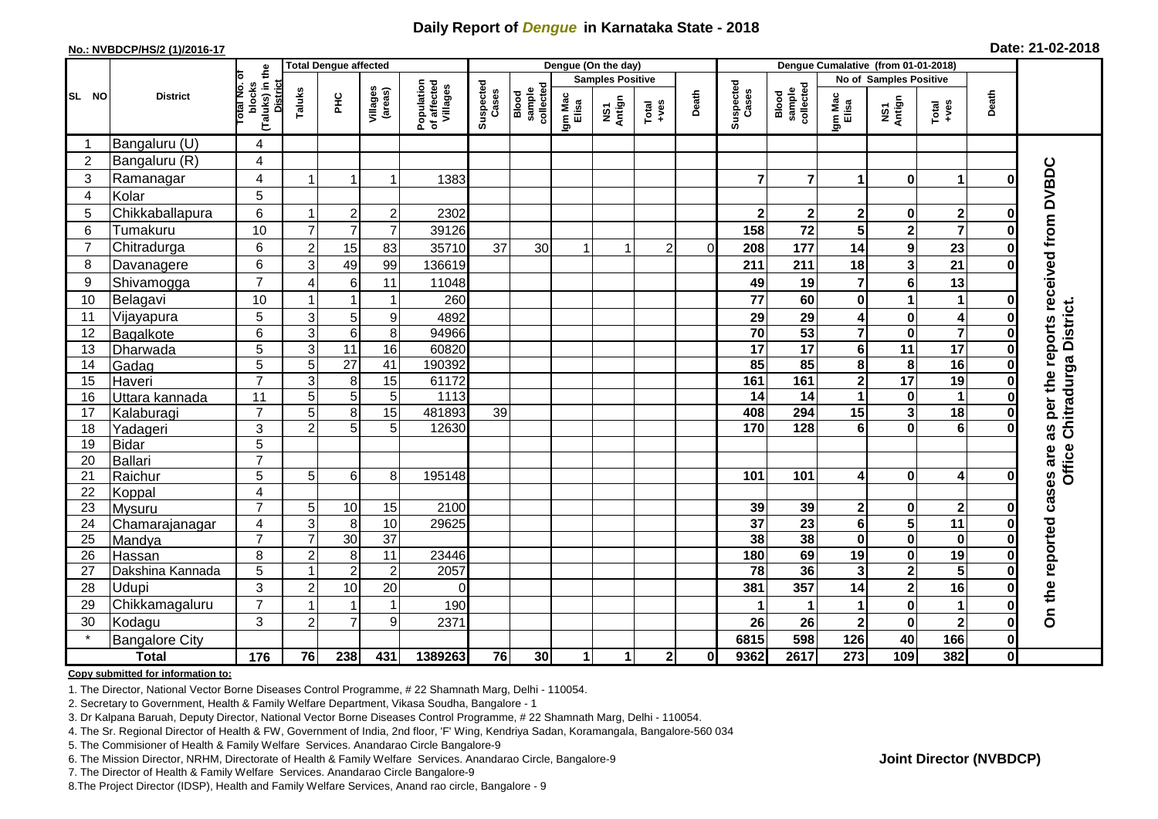## **Daily Report of** *Dengue* **in Karnataka State - 2018**

#### **No.: NVBDCP/HS/2 (1)/2016-17**

| Date: 21-02-2018 |  |  |  |  |
|------------------|--|--|--|--|
|------------------|--|--|--|--|

| (Taluks) in the<br>District<br>ō<br><b>Samples Positive</b><br>No of Samples Positive<br>Population<br>of affected<br>Villages<br>Suspected<br>Suspected<br>otal No.<br>blocks<br>Blood<br>sample<br>collected<br>sample<br>collected<br>Villages<br>(areas)<br>Taluks<br>Cases<br>Cases<br>Death<br>Death<br>Blood<br><b>PHC</b><br><b>District</b><br>Igm Mac<br>Elisa<br>Igm Mac<br>Elisa<br>NS1<br>Antign<br>NS1<br>Antign<br>Total<br>+ves<br>Total<br>+ves<br>Bangaluru (U)<br>4<br>-1<br>Bangaluru (R)<br>$\overline{2}$<br>$\overline{4}$<br>per the reports received from DVBDC<br>3<br>4<br>Ramanagar<br>$\overline{7}$<br>1383<br>7<br>$\bf{0}$<br>1<br>1<br>1<br>O<br>5<br>Kolar<br>$\overline{4}$<br>6<br>5<br>Chikkaballapura<br>$\overline{2}$<br>$\boldsymbol{2}$<br>2302<br>$\mathbf 2$<br>2<br>$\mathbf{2}$<br>0<br>$\mathbf 2$<br>0<br>-1<br>$\overline{7}$<br>10<br>$\overline{7}$<br>72<br>5<br>$\overline{\mathbf{2}}$<br>$\overline{7}$<br>6<br>$\overline{7}$<br>Tumakuru<br>39126<br>158<br>ŋ<br>15<br>$\boldsymbol{9}$<br>$\overline{7}$<br>Chitradurga<br>6<br>$\overline{c}$<br>83<br>37<br>177<br>14<br>23<br>35710<br>30<br>$\overline{c}$<br>$\Omega$<br>208<br>0<br>49<br>$\overline{\mathbf{3}}$<br>3<br>21<br>6<br>99<br>8<br>136619<br>211<br>211<br>18<br>Davanagere<br>ŋ<br>$\overline{7}$<br>$6\phantom{a}$<br>9<br>Shivamogga<br>6<br>7<br>13<br>11<br>19<br>$\overline{4}$<br>11048<br>49<br>10<br>Belagavi<br>260<br>10<br>77<br>60<br>0<br>1<br>$\mathbf 1$<br>1<br>1<br>O<br>Chitradurga District.<br>5<br>3<br>5<br>11<br>Vijayapura<br>9<br>4892<br>29<br>29<br>4<br>$\mathbf 0$<br>$\overline{\mathbf{4}}$<br>0<br>$\overline{\mathbf{7}}$<br>$\overline{\mathbf{7}}$<br>$\overline{3}$<br>$\overline{6}$<br>53<br>8<br>94966<br>$\overline{70}$<br>$\mathbf 0$<br>6<br>$\bf{0}$<br>12<br>Bagalkote<br>$\overline{5}$<br>11<br>$\overline{17}$<br>11<br>17<br>3<br>$\overline{16}$<br>60820<br>$\overline{17}$<br>6<br>13<br>$\bf{0}$<br>Dharwada<br>5<br>$\overline{27}$<br>$\overline{16}$<br>5<br>41<br>190392<br>85<br>85<br>8<br>8<br>14<br>Gadag<br>$\bf{0}$<br>$\overline{7}$<br>3<br>$\overline{\mathbf{2}}$<br>$\overline{17}$<br>$\overline{19}$<br>8<br>15<br>61172<br>161<br>15<br>161<br>Haveri<br>$\bf{0}$<br>5<br>5<br>$\sqrt{5}$<br>1113<br>14<br>14<br>$\pmb{0}$<br>$\mathbf 1$<br>11<br>1<br>16<br>Uttara kannada<br>0<br>$\overline{7}$<br>8<br>$\mathbf{3}$<br>$\overline{18}$<br>5<br>15<br>481893<br>15<br>17<br>39<br>408<br>294<br>Kalaburagi<br>$\bf{0}$<br>as<br>5<br>3<br>$\overline{2}$<br>$\mathbf 0$<br>$6\phantom{1}6$<br>5<br>12630<br>170<br>128<br>18<br>6<br>Yadageri<br>5<br>19<br><b>Bidar</b><br><b>Office</b><br>On the reported cases are<br>$\overline{7}$<br>Ballari<br>20<br>5<br>21<br>5<br>6<br>8<br>101<br>$\bf{0}$<br>Raichur<br>195148<br>101<br>4<br>$\overline{\mathbf{4}}$<br>0<br>$\overline{4}$<br>22<br>Koppal<br>$\overline{7}$<br>5<br>10<br>15<br>2100<br>2<br>23<br>39<br>39<br>0<br>$\mathbf{2}$<br>Mysuru<br>$\bf{0}$<br>$\overline{23}$<br>$\overline{37}$<br>$\overline{\mathbf{6}}$<br>$\overline{\mathbf{5}}$<br>$\overline{11}$<br>3<br>8<br>10<br>29625<br>24<br>4<br>Chamarajanagar<br>0<br>38<br>$\overline{7}$<br>30<br>$\overline{37}$<br>$\overline{7}$<br>38<br>$\mathbf 0$<br>$\mathbf 0$<br>25<br>$\bf{0}$<br>Mandya<br>$\bf{0}$<br>69<br>19<br>8<br>8<br>11<br>180<br>19<br>$\mathbf 0$<br>26<br>$\overline{2}$<br>23446<br>$\bf{0}$<br>Hassan<br>$\overline{\mathbf{5}}$<br>$\overline{c}$<br>36<br>$\mathbf{2}$<br>5<br>$\overline{c}$<br>2057<br>78<br>3<br>Dakshina Kannada<br>27<br>-1<br>0<br>Udupi<br>3<br>357<br>$\overline{c}$<br>10<br>20<br>$\mathbf{2}$<br>16<br>28<br>381<br>14<br>$\Omega$<br>$\bf{0}$<br>$\overline{7}$<br>$\mathbf 0$<br>29<br>Chikkamagaluru<br>$\mathbf{1}$<br>190<br>1<br>O<br>3<br>$\mathbf 0$<br>$\overline{7}$<br>9<br>30<br>Kodagu<br>$\overline{2}$<br>26<br>26<br>$\overline{\mathbf{2}}$<br>$\mathbf{2}$<br>2371<br>0<br>40<br>166<br><b>Bangalore City</b><br>598<br>126<br>$\mathbf 0$<br>6815 |       |              |     |    | <b>Total Dengue affected</b> |     |         | Dengue (On the day) |                 |   |   |              |    |      | Dengue Cumalative (from 01-01-2018) |     |     |     |              |  |  |
|---------------------------------------------------------------------------------------------------------------------------------------------------------------------------------------------------------------------------------------------------------------------------------------------------------------------------------------------------------------------------------------------------------------------------------------------------------------------------------------------------------------------------------------------------------------------------------------------------------------------------------------------------------------------------------------------------------------------------------------------------------------------------------------------------------------------------------------------------------------------------------------------------------------------------------------------------------------------------------------------------------------------------------------------------------------------------------------------------------------------------------------------------------------------------------------------------------------------------------------------------------------------------------------------------------------------------------------------------------------------------------------------------------------------------------------------------------------------------------------------------------------------------------------------------------------------------------------------------------------------------------------------------------------------------------------------------------------------------------------------------------------------------------------------------------------------------------------------------------------------------------------------------------------------------------------------------------------------------------------------------------------------------------------------------------------------------------------------------------------------------------------------------------------------------------------------------------------------------------------------------------------------------------------------------------------------------------------------------------------------------------------------------------------------------------------------------------------------------------------------------------------------------------------------------------------------------------------------------------------------------------------------------------------------------------------------------------------------------------------------------------------------------------------------------------------------------------------------------------------------------------------------------------------------------------------------------------------------------------------------------------------------------------------------------------------------------------------------------------------------------------------------------------------------------------------------------------------------------------------------------------------------------------------------------------------------------------------------------------------------------------------------------------------------------------------------------------------------------------------------------------------------------------------------------------------------------------------------------------------------------------------------------------------------------------------------------------------------------------------------------------------------------------------------------------------------------------------------------------------------------------------------------------------------------------------------------------------------------------------------------------------------------------------------------------------------|-------|--------------|-----|----|------------------------------|-----|---------|---------------------|-----------------|---|---|--------------|----|------|-------------------------------------|-----|-----|-----|--------------|--|--|
|                                                                                                                                                                                                                                                                                                                                                                                                                                                                                                                                                                                                                                                                                                                                                                                                                                                                                                                                                                                                                                                                                                                                                                                                                                                                                                                                                                                                                                                                                                                                                                                                                                                                                                                                                                                                                                                                                                                                                                                                                                                                                                                                                                                                                                                                                                                                                                                                                                                                                                                                                                                                                                                                                                                                                                                                                                                                                                                                                                                                                                                                                                                                                                                                                                                                                                                                                                                                                                                                                                                                                                                                                                                                                                                                                                                                                                                                                                                                                                                                                                                                     |       |              |     |    |                              |     |         |                     |                 |   |   |              |    |      |                                     |     |     |     |              |  |  |
|                                                                                                                                                                                                                                                                                                                                                                                                                                                                                                                                                                                                                                                                                                                                                                                                                                                                                                                                                                                                                                                                                                                                                                                                                                                                                                                                                                                                                                                                                                                                                                                                                                                                                                                                                                                                                                                                                                                                                                                                                                                                                                                                                                                                                                                                                                                                                                                                                                                                                                                                                                                                                                                                                                                                                                                                                                                                                                                                                                                                                                                                                                                                                                                                                                                                                                                                                                                                                                                                                                                                                                                                                                                                                                                                                                                                                                                                                                                                                                                                                                                                     | SL NO |              |     |    |                              |     |         |                     |                 |   |   |              |    |      |                                     |     |     |     |              |  |  |
|                                                                                                                                                                                                                                                                                                                                                                                                                                                                                                                                                                                                                                                                                                                                                                                                                                                                                                                                                                                                                                                                                                                                                                                                                                                                                                                                                                                                                                                                                                                                                                                                                                                                                                                                                                                                                                                                                                                                                                                                                                                                                                                                                                                                                                                                                                                                                                                                                                                                                                                                                                                                                                                                                                                                                                                                                                                                                                                                                                                                                                                                                                                                                                                                                                                                                                                                                                                                                                                                                                                                                                                                                                                                                                                                                                                                                                                                                                                                                                                                                                                                     |       |              |     |    |                              |     |         |                     |                 |   |   |              |    |      |                                     |     |     |     |              |  |  |
|                                                                                                                                                                                                                                                                                                                                                                                                                                                                                                                                                                                                                                                                                                                                                                                                                                                                                                                                                                                                                                                                                                                                                                                                                                                                                                                                                                                                                                                                                                                                                                                                                                                                                                                                                                                                                                                                                                                                                                                                                                                                                                                                                                                                                                                                                                                                                                                                                                                                                                                                                                                                                                                                                                                                                                                                                                                                                                                                                                                                                                                                                                                                                                                                                                                                                                                                                                                                                                                                                                                                                                                                                                                                                                                                                                                                                                                                                                                                                                                                                                                                     |       |              |     |    |                              |     |         |                     |                 |   |   |              |    |      |                                     |     |     |     |              |  |  |
|                                                                                                                                                                                                                                                                                                                                                                                                                                                                                                                                                                                                                                                                                                                                                                                                                                                                                                                                                                                                                                                                                                                                                                                                                                                                                                                                                                                                                                                                                                                                                                                                                                                                                                                                                                                                                                                                                                                                                                                                                                                                                                                                                                                                                                                                                                                                                                                                                                                                                                                                                                                                                                                                                                                                                                                                                                                                                                                                                                                                                                                                                                                                                                                                                                                                                                                                                                                                                                                                                                                                                                                                                                                                                                                                                                                                                                                                                                                                                                                                                                                                     |       |              |     |    |                              |     |         |                     |                 |   |   |              |    |      |                                     |     |     |     |              |  |  |
|                                                                                                                                                                                                                                                                                                                                                                                                                                                                                                                                                                                                                                                                                                                                                                                                                                                                                                                                                                                                                                                                                                                                                                                                                                                                                                                                                                                                                                                                                                                                                                                                                                                                                                                                                                                                                                                                                                                                                                                                                                                                                                                                                                                                                                                                                                                                                                                                                                                                                                                                                                                                                                                                                                                                                                                                                                                                                                                                                                                                                                                                                                                                                                                                                                                                                                                                                                                                                                                                                                                                                                                                                                                                                                                                                                                                                                                                                                                                                                                                                                                                     |       |              |     |    |                              |     |         |                     |                 |   |   |              |    |      |                                     |     |     |     |              |  |  |
|                                                                                                                                                                                                                                                                                                                                                                                                                                                                                                                                                                                                                                                                                                                                                                                                                                                                                                                                                                                                                                                                                                                                                                                                                                                                                                                                                                                                                                                                                                                                                                                                                                                                                                                                                                                                                                                                                                                                                                                                                                                                                                                                                                                                                                                                                                                                                                                                                                                                                                                                                                                                                                                                                                                                                                                                                                                                                                                                                                                                                                                                                                                                                                                                                                                                                                                                                                                                                                                                                                                                                                                                                                                                                                                                                                                                                                                                                                                                                                                                                                                                     |       |              |     |    |                              |     |         |                     |                 |   |   |              |    |      |                                     |     |     |     |              |  |  |
|                                                                                                                                                                                                                                                                                                                                                                                                                                                                                                                                                                                                                                                                                                                                                                                                                                                                                                                                                                                                                                                                                                                                                                                                                                                                                                                                                                                                                                                                                                                                                                                                                                                                                                                                                                                                                                                                                                                                                                                                                                                                                                                                                                                                                                                                                                                                                                                                                                                                                                                                                                                                                                                                                                                                                                                                                                                                                                                                                                                                                                                                                                                                                                                                                                                                                                                                                                                                                                                                                                                                                                                                                                                                                                                                                                                                                                                                                                                                                                                                                                                                     |       |              |     |    |                              |     |         |                     |                 |   |   |              |    |      |                                     |     |     |     |              |  |  |
|                                                                                                                                                                                                                                                                                                                                                                                                                                                                                                                                                                                                                                                                                                                                                                                                                                                                                                                                                                                                                                                                                                                                                                                                                                                                                                                                                                                                                                                                                                                                                                                                                                                                                                                                                                                                                                                                                                                                                                                                                                                                                                                                                                                                                                                                                                                                                                                                                                                                                                                                                                                                                                                                                                                                                                                                                                                                                                                                                                                                                                                                                                                                                                                                                                                                                                                                                                                                                                                                                                                                                                                                                                                                                                                                                                                                                                                                                                                                                                                                                                                                     |       |              |     |    |                              |     |         |                     |                 |   |   |              |    |      |                                     |     |     |     |              |  |  |
|                                                                                                                                                                                                                                                                                                                                                                                                                                                                                                                                                                                                                                                                                                                                                                                                                                                                                                                                                                                                                                                                                                                                                                                                                                                                                                                                                                                                                                                                                                                                                                                                                                                                                                                                                                                                                                                                                                                                                                                                                                                                                                                                                                                                                                                                                                                                                                                                                                                                                                                                                                                                                                                                                                                                                                                                                                                                                                                                                                                                                                                                                                                                                                                                                                                                                                                                                                                                                                                                                                                                                                                                                                                                                                                                                                                                                                                                                                                                                                                                                                                                     |       |              |     |    |                              |     |         |                     |                 |   |   |              |    |      |                                     |     |     |     |              |  |  |
|                                                                                                                                                                                                                                                                                                                                                                                                                                                                                                                                                                                                                                                                                                                                                                                                                                                                                                                                                                                                                                                                                                                                                                                                                                                                                                                                                                                                                                                                                                                                                                                                                                                                                                                                                                                                                                                                                                                                                                                                                                                                                                                                                                                                                                                                                                                                                                                                                                                                                                                                                                                                                                                                                                                                                                                                                                                                                                                                                                                                                                                                                                                                                                                                                                                                                                                                                                                                                                                                                                                                                                                                                                                                                                                                                                                                                                                                                                                                                                                                                                                                     |       |              |     |    |                              |     |         |                     |                 |   |   |              |    |      |                                     |     |     |     |              |  |  |
|                                                                                                                                                                                                                                                                                                                                                                                                                                                                                                                                                                                                                                                                                                                                                                                                                                                                                                                                                                                                                                                                                                                                                                                                                                                                                                                                                                                                                                                                                                                                                                                                                                                                                                                                                                                                                                                                                                                                                                                                                                                                                                                                                                                                                                                                                                                                                                                                                                                                                                                                                                                                                                                                                                                                                                                                                                                                                                                                                                                                                                                                                                                                                                                                                                                                                                                                                                                                                                                                                                                                                                                                                                                                                                                                                                                                                                                                                                                                                                                                                                                                     |       |              |     |    |                              |     |         |                     |                 |   |   |              |    |      |                                     |     |     |     |              |  |  |
|                                                                                                                                                                                                                                                                                                                                                                                                                                                                                                                                                                                                                                                                                                                                                                                                                                                                                                                                                                                                                                                                                                                                                                                                                                                                                                                                                                                                                                                                                                                                                                                                                                                                                                                                                                                                                                                                                                                                                                                                                                                                                                                                                                                                                                                                                                                                                                                                                                                                                                                                                                                                                                                                                                                                                                                                                                                                                                                                                                                                                                                                                                                                                                                                                                                                                                                                                                                                                                                                                                                                                                                                                                                                                                                                                                                                                                                                                                                                                                                                                                                                     |       |              |     |    |                              |     |         |                     |                 |   |   |              |    |      |                                     |     |     |     |              |  |  |
|                                                                                                                                                                                                                                                                                                                                                                                                                                                                                                                                                                                                                                                                                                                                                                                                                                                                                                                                                                                                                                                                                                                                                                                                                                                                                                                                                                                                                                                                                                                                                                                                                                                                                                                                                                                                                                                                                                                                                                                                                                                                                                                                                                                                                                                                                                                                                                                                                                                                                                                                                                                                                                                                                                                                                                                                                                                                                                                                                                                                                                                                                                                                                                                                                                                                                                                                                                                                                                                                                                                                                                                                                                                                                                                                                                                                                                                                                                                                                                                                                                                                     |       |              |     |    |                              |     |         |                     |                 |   |   |              |    |      |                                     |     |     |     |              |  |  |
|                                                                                                                                                                                                                                                                                                                                                                                                                                                                                                                                                                                                                                                                                                                                                                                                                                                                                                                                                                                                                                                                                                                                                                                                                                                                                                                                                                                                                                                                                                                                                                                                                                                                                                                                                                                                                                                                                                                                                                                                                                                                                                                                                                                                                                                                                                                                                                                                                                                                                                                                                                                                                                                                                                                                                                                                                                                                                                                                                                                                                                                                                                                                                                                                                                                                                                                                                                                                                                                                                                                                                                                                                                                                                                                                                                                                                                                                                                                                                                                                                                                                     |       |              |     |    |                              |     |         |                     |                 |   |   |              |    |      |                                     |     |     |     |              |  |  |
|                                                                                                                                                                                                                                                                                                                                                                                                                                                                                                                                                                                                                                                                                                                                                                                                                                                                                                                                                                                                                                                                                                                                                                                                                                                                                                                                                                                                                                                                                                                                                                                                                                                                                                                                                                                                                                                                                                                                                                                                                                                                                                                                                                                                                                                                                                                                                                                                                                                                                                                                                                                                                                                                                                                                                                                                                                                                                                                                                                                                                                                                                                                                                                                                                                                                                                                                                                                                                                                                                                                                                                                                                                                                                                                                                                                                                                                                                                                                                                                                                                                                     |       |              |     |    |                              |     |         |                     |                 |   |   |              |    |      |                                     |     |     |     |              |  |  |
|                                                                                                                                                                                                                                                                                                                                                                                                                                                                                                                                                                                                                                                                                                                                                                                                                                                                                                                                                                                                                                                                                                                                                                                                                                                                                                                                                                                                                                                                                                                                                                                                                                                                                                                                                                                                                                                                                                                                                                                                                                                                                                                                                                                                                                                                                                                                                                                                                                                                                                                                                                                                                                                                                                                                                                                                                                                                                                                                                                                                                                                                                                                                                                                                                                                                                                                                                                                                                                                                                                                                                                                                                                                                                                                                                                                                                                                                                                                                                                                                                                                                     |       |              |     |    |                              |     |         |                     |                 |   |   |              |    |      |                                     |     |     |     |              |  |  |
|                                                                                                                                                                                                                                                                                                                                                                                                                                                                                                                                                                                                                                                                                                                                                                                                                                                                                                                                                                                                                                                                                                                                                                                                                                                                                                                                                                                                                                                                                                                                                                                                                                                                                                                                                                                                                                                                                                                                                                                                                                                                                                                                                                                                                                                                                                                                                                                                                                                                                                                                                                                                                                                                                                                                                                                                                                                                                                                                                                                                                                                                                                                                                                                                                                                                                                                                                                                                                                                                                                                                                                                                                                                                                                                                                                                                                                                                                                                                                                                                                                                                     |       |              |     |    |                              |     |         |                     |                 |   |   |              |    |      |                                     |     |     |     |              |  |  |
|                                                                                                                                                                                                                                                                                                                                                                                                                                                                                                                                                                                                                                                                                                                                                                                                                                                                                                                                                                                                                                                                                                                                                                                                                                                                                                                                                                                                                                                                                                                                                                                                                                                                                                                                                                                                                                                                                                                                                                                                                                                                                                                                                                                                                                                                                                                                                                                                                                                                                                                                                                                                                                                                                                                                                                                                                                                                                                                                                                                                                                                                                                                                                                                                                                                                                                                                                                                                                                                                                                                                                                                                                                                                                                                                                                                                                                                                                                                                                                                                                                                                     |       |              |     |    |                              |     |         |                     |                 |   |   |              |    |      |                                     |     |     |     |              |  |  |
|                                                                                                                                                                                                                                                                                                                                                                                                                                                                                                                                                                                                                                                                                                                                                                                                                                                                                                                                                                                                                                                                                                                                                                                                                                                                                                                                                                                                                                                                                                                                                                                                                                                                                                                                                                                                                                                                                                                                                                                                                                                                                                                                                                                                                                                                                                                                                                                                                                                                                                                                                                                                                                                                                                                                                                                                                                                                                                                                                                                                                                                                                                                                                                                                                                                                                                                                                                                                                                                                                                                                                                                                                                                                                                                                                                                                                                                                                                                                                                                                                                                                     |       |              |     |    |                              |     |         |                     |                 |   |   |              |    |      |                                     |     |     |     |              |  |  |
|                                                                                                                                                                                                                                                                                                                                                                                                                                                                                                                                                                                                                                                                                                                                                                                                                                                                                                                                                                                                                                                                                                                                                                                                                                                                                                                                                                                                                                                                                                                                                                                                                                                                                                                                                                                                                                                                                                                                                                                                                                                                                                                                                                                                                                                                                                                                                                                                                                                                                                                                                                                                                                                                                                                                                                                                                                                                                                                                                                                                                                                                                                                                                                                                                                                                                                                                                                                                                                                                                                                                                                                                                                                                                                                                                                                                                                                                                                                                                                                                                                                                     |       |              |     |    |                              |     |         |                     |                 |   |   |              |    |      |                                     |     |     |     |              |  |  |
|                                                                                                                                                                                                                                                                                                                                                                                                                                                                                                                                                                                                                                                                                                                                                                                                                                                                                                                                                                                                                                                                                                                                                                                                                                                                                                                                                                                                                                                                                                                                                                                                                                                                                                                                                                                                                                                                                                                                                                                                                                                                                                                                                                                                                                                                                                                                                                                                                                                                                                                                                                                                                                                                                                                                                                                                                                                                                                                                                                                                                                                                                                                                                                                                                                                                                                                                                                                                                                                                                                                                                                                                                                                                                                                                                                                                                                                                                                                                                                                                                                                                     |       |              |     |    |                              |     |         |                     |                 |   |   |              |    |      |                                     |     |     |     |              |  |  |
|                                                                                                                                                                                                                                                                                                                                                                                                                                                                                                                                                                                                                                                                                                                                                                                                                                                                                                                                                                                                                                                                                                                                                                                                                                                                                                                                                                                                                                                                                                                                                                                                                                                                                                                                                                                                                                                                                                                                                                                                                                                                                                                                                                                                                                                                                                                                                                                                                                                                                                                                                                                                                                                                                                                                                                                                                                                                                                                                                                                                                                                                                                                                                                                                                                                                                                                                                                                                                                                                                                                                                                                                                                                                                                                                                                                                                                                                                                                                                                                                                                                                     |       |              |     |    |                              |     |         |                     |                 |   |   |              |    |      |                                     |     |     |     |              |  |  |
|                                                                                                                                                                                                                                                                                                                                                                                                                                                                                                                                                                                                                                                                                                                                                                                                                                                                                                                                                                                                                                                                                                                                                                                                                                                                                                                                                                                                                                                                                                                                                                                                                                                                                                                                                                                                                                                                                                                                                                                                                                                                                                                                                                                                                                                                                                                                                                                                                                                                                                                                                                                                                                                                                                                                                                                                                                                                                                                                                                                                                                                                                                                                                                                                                                                                                                                                                                                                                                                                                                                                                                                                                                                                                                                                                                                                                                                                                                                                                                                                                                                                     |       |              |     |    |                              |     |         |                     |                 |   |   |              |    |      |                                     |     |     |     |              |  |  |
|                                                                                                                                                                                                                                                                                                                                                                                                                                                                                                                                                                                                                                                                                                                                                                                                                                                                                                                                                                                                                                                                                                                                                                                                                                                                                                                                                                                                                                                                                                                                                                                                                                                                                                                                                                                                                                                                                                                                                                                                                                                                                                                                                                                                                                                                                                                                                                                                                                                                                                                                                                                                                                                                                                                                                                                                                                                                                                                                                                                                                                                                                                                                                                                                                                                                                                                                                                                                                                                                                                                                                                                                                                                                                                                                                                                                                                                                                                                                                                                                                                                                     |       |              |     |    |                              |     |         |                     |                 |   |   |              |    |      |                                     |     |     |     |              |  |  |
|                                                                                                                                                                                                                                                                                                                                                                                                                                                                                                                                                                                                                                                                                                                                                                                                                                                                                                                                                                                                                                                                                                                                                                                                                                                                                                                                                                                                                                                                                                                                                                                                                                                                                                                                                                                                                                                                                                                                                                                                                                                                                                                                                                                                                                                                                                                                                                                                                                                                                                                                                                                                                                                                                                                                                                                                                                                                                                                                                                                                                                                                                                                                                                                                                                                                                                                                                                                                                                                                                                                                                                                                                                                                                                                                                                                                                                                                                                                                                                                                                                                                     |       |              |     |    |                              |     |         |                     |                 |   |   |              |    |      |                                     |     |     |     |              |  |  |
|                                                                                                                                                                                                                                                                                                                                                                                                                                                                                                                                                                                                                                                                                                                                                                                                                                                                                                                                                                                                                                                                                                                                                                                                                                                                                                                                                                                                                                                                                                                                                                                                                                                                                                                                                                                                                                                                                                                                                                                                                                                                                                                                                                                                                                                                                                                                                                                                                                                                                                                                                                                                                                                                                                                                                                                                                                                                                                                                                                                                                                                                                                                                                                                                                                                                                                                                                                                                                                                                                                                                                                                                                                                                                                                                                                                                                                                                                                                                                                                                                                                                     |       |              |     |    |                              |     |         |                     |                 |   |   |              |    |      |                                     |     |     |     |              |  |  |
|                                                                                                                                                                                                                                                                                                                                                                                                                                                                                                                                                                                                                                                                                                                                                                                                                                                                                                                                                                                                                                                                                                                                                                                                                                                                                                                                                                                                                                                                                                                                                                                                                                                                                                                                                                                                                                                                                                                                                                                                                                                                                                                                                                                                                                                                                                                                                                                                                                                                                                                                                                                                                                                                                                                                                                                                                                                                                                                                                                                                                                                                                                                                                                                                                                                                                                                                                                                                                                                                                                                                                                                                                                                                                                                                                                                                                                                                                                                                                                                                                                                                     |       |              |     |    |                              |     |         |                     |                 |   |   |              |    |      |                                     |     |     |     |              |  |  |
|                                                                                                                                                                                                                                                                                                                                                                                                                                                                                                                                                                                                                                                                                                                                                                                                                                                                                                                                                                                                                                                                                                                                                                                                                                                                                                                                                                                                                                                                                                                                                                                                                                                                                                                                                                                                                                                                                                                                                                                                                                                                                                                                                                                                                                                                                                                                                                                                                                                                                                                                                                                                                                                                                                                                                                                                                                                                                                                                                                                                                                                                                                                                                                                                                                                                                                                                                                                                                                                                                                                                                                                                                                                                                                                                                                                                                                                                                                                                                                                                                                                                     |       |              |     |    |                              |     |         |                     |                 |   |   |              |    |      |                                     |     |     |     |              |  |  |
|                                                                                                                                                                                                                                                                                                                                                                                                                                                                                                                                                                                                                                                                                                                                                                                                                                                                                                                                                                                                                                                                                                                                                                                                                                                                                                                                                                                                                                                                                                                                                                                                                                                                                                                                                                                                                                                                                                                                                                                                                                                                                                                                                                                                                                                                                                                                                                                                                                                                                                                                                                                                                                                                                                                                                                                                                                                                                                                                                                                                                                                                                                                                                                                                                                                                                                                                                                                                                                                                                                                                                                                                                                                                                                                                                                                                                                                                                                                                                                                                                                                                     |       |              |     |    |                              |     |         |                     |                 |   |   |              |    |      |                                     |     |     |     |              |  |  |
|                                                                                                                                                                                                                                                                                                                                                                                                                                                                                                                                                                                                                                                                                                                                                                                                                                                                                                                                                                                                                                                                                                                                                                                                                                                                                                                                                                                                                                                                                                                                                                                                                                                                                                                                                                                                                                                                                                                                                                                                                                                                                                                                                                                                                                                                                                                                                                                                                                                                                                                                                                                                                                                                                                                                                                                                                                                                                                                                                                                                                                                                                                                                                                                                                                                                                                                                                                                                                                                                                                                                                                                                                                                                                                                                                                                                                                                                                                                                                                                                                                                                     |       |              |     |    |                              |     |         |                     |                 |   |   |              |    |      |                                     |     |     |     |              |  |  |
|                                                                                                                                                                                                                                                                                                                                                                                                                                                                                                                                                                                                                                                                                                                                                                                                                                                                                                                                                                                                                                                                                                                                                                                                                                                                                                                                                                                                                                                                                                                                                                                                                                                                                                                                                                                                                                                                                                                                                                                                                                                                                                                                                                                                                                                                                                                                                                                                                                                                                                                                                                                                                                                                                                                                                                                                                                                                                                                                                                                                                                                                                                                                                                                                                                                                                                                                                                                                                                                                                                                                                                                                                                                                                                                                                                                                                                                                                                                                                                                                                                                                     |       |              |     |    |                              |     |         |                     |                 |   |   |              |    |      |                                     |     |     |     |              |  |  |
|                                                                                                                                                                                                                                                                                                                                                                                                                                                                                                                                                                                                                                                                                                                                                                                                                                                                                                                                                                                                                                                                                                                                                                                                                                                                                                                                                                                                                                                                                                                                                                                                                                                                                                                                                                                                                                                                                                                                                                                                                                                                                                                                                                                                                                                                                                                                                                                                                                                                                                                                                                                                                                                                                                                                                                                                                                                                                                                                                                                                                                                                                                                                                                                                                                                                                                                                                                                                                                                                                                                                                                                                                                                                                                                                                                                                                                                                                                                                                                                                                                                                     |       | <b>Total</b> | 176 | 76 | 238                          | 431 | 1389263 | 76                  | 30 <sub>1</sub> | 1 | 1 | $\mathbf{2}$ | 0l | 9362 | 2617                                | 273 | 109 | 382 | $\mathbf{0}$ |  |  |

#### **Copy submitted for information to:**

1. The Director, National Vector Borne Diseases Control Programme, # 22 Shamnath Marg, Delhi - 110054.

2. Secretary to Government, Health & Family Welfare Department, Vikasa Soudha, Bangalore - 1

3. Dr Kalpana Baruah, Deputy Director, National Vector Borne Diseases Control Programme, # 22 Shamnath Marg, Delhi - 110054.

4. The Sr. Regional Director of Health & FW, Government of India, 2nd floor, 'F' Wing, Kendriya Sadan, Koramangala, Bangalore-560 034

5. The Commisioner of Health & Family Welfare Services. Anandarao Circle Bangalore-9

6. The Mission Director, NRHM, Directorate of Health & Family Welfare Services. Anandarao Circle, Bangalore-9

7. The Director of Health & Family Welfare Services. Anandarao Circle Bangalore-9

8.The Project Director (IDSP), Health and Family Welfare Services, Anand rao circle, Bangalore - 9